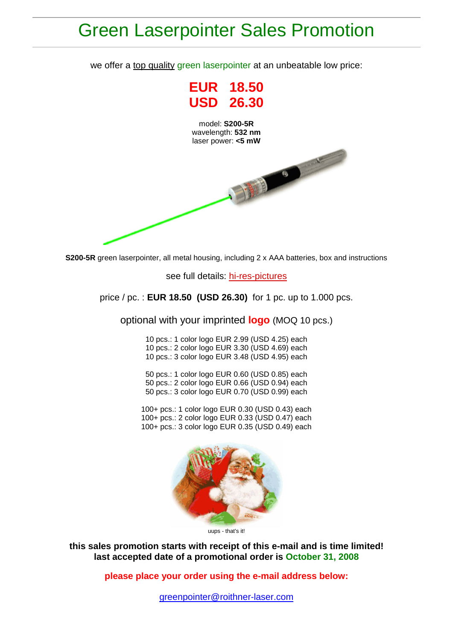## Green Laserpointer Sales Promotion

we offer a top quality green laserpointer at an unbeatable low price:



**S200-5R** green laserpointer, all metal housing, including 2 x AAA batteries, box and instructions

see full details: [hi-res-pictures](http://www.roithner-laser.com/S200-5R/s200-5r.html)

price / pc. : **EUR 18.50 (USD 26.30)** for 1 pc. up to 1.000 pcs.

optional with your imprinted **logo** (MOQ 10 pcs.)

10 pcs.: 1 color logo EUR 2.99 (USD 4.25) each 10 pcs.: 2 color logo EUR 3.30 (USD 4.69) each 10 pcs.: 3 color logo EUR 3.48 (USD 4.95) each

50 pcs.: 1 color logo EUR 0.60 (USD 0.85) each 50 pcs.: 2 color logo EUR 0.66 (USD 0.94) each 50 pcs.: 3 color logo EUR 0.70 (USD 0.99) each

100+ pcs.: 1 color logo EUR 0.30 (USD 0.43) each 100+ pcs.: 2 color logo EUR 0.33 (USD 0.47) each 100+ pcs.: 3 color logo EUR 0.35 (USD 0.49) each



uups - that's it!

**this sales promotion starts with receipt of this e-mail and is time limited! last accepted date of a promotional order is October 31, 2008**

**please place your order using the e-mail address below:**